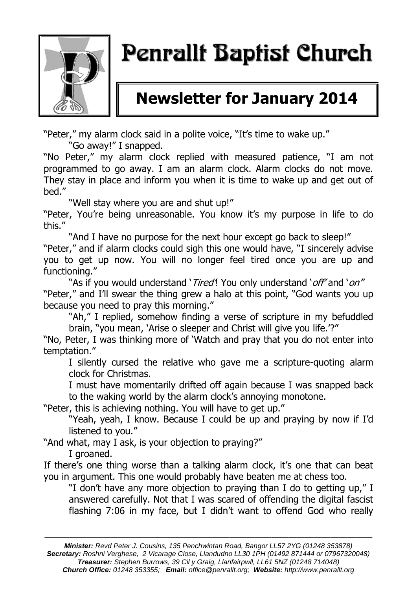

# Penrallt Baptist Church

# **Newsletter for January 2014**

"Peter," my alarm clock said in a polite voice, "It's time to wake up."

"Go away!" I snapped.

"No Peter," my alarm clock replied with measured patience, "I am not programmed to go away. I am an alarm clock. Alarm clocks do not move. They stay in place and inform you when it is time to wake up and get out of bed."

"Well stay where you are and shut up!"

"Peter, You're being unreasonable. You know it's my purpose in life to do this."

"And I have no purpose for the next hour except go back to sleep!" "Peter," and if alarm clocks could sigh this one would have, "I sincerely advise you to get up now. You will no longer feel tired once you are up and functioning."

"As if you would understand 'Tired! You only understand 'off' and 'on" "Peter," and I'll swear the thing grew a halo at this point, "God wants you up because you need to pray this morning."

"Ah," I replied, somehow finding a verse of scripture in my befuddled brain, "you mean, 'Arise o sleeper and Christ will give you life.'?"

"No, Peter, I was thinking more of 'Watch and pray that you do not enter into temptation."

I silently cursed the relative who gave me a scripture-quoting alarm clock for Christmas.

I must have momentarily drifted off again because I was snapped back to the waking world by the alarm clock's annoying monotone.

"Peter, this is achieving nothing. You will have to get up."

"Yeah, yeah, I know. Because I could be up and praying by now if I'd listened to you."

"And what, may I ask, is your objection to praying?" I groaned.

If there's one thing worse than a talking alarm clock, it's one that can beat you in argument. This one would probably have beaten me at chess too.

"I don't have any more objection to praying than I do to getting up," I answered carefully. Not that I was scared of offending the digital fascist flashing 7:06 in my face, but I didn't want to offend God who really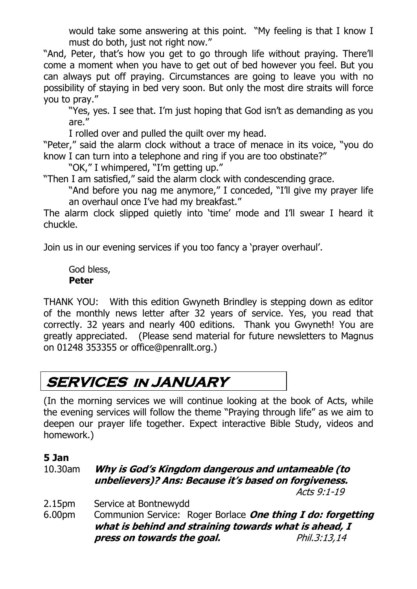would take some answering at this point. "My feeling is that I know I must do both, just not right now."

"And, Peter, that's how you get to go through life without praying. There'll come a moment when you have to get out of bed however you feel. But you can always put off praying. Circumstances are going to leave you with no possibility of staying in bed very soon. But only the most dire straits will force you to pray."

"Yes, yes. I see that. I'm just hoping that God isn't as demanding as you are."

I rolled over and pulled the quilt over my head.

"Peter," said the alarm clock without a trace of menace in its voice, "you do know I can turn into a telephone and ring if you are too obstinate?"

"OK," I whimpered, "I'm getting up."

"Then I am satisfied," said the alarm clock with condescending grace.

"And before you nag me anymore," I conceded, "I'll give my prayer life an overhaul once I've had my breakfast."

The alarm clock slipped quietly into 'time' mode and I'll swear I heard it chuckle.

Join us in our evening services if you too fancy a 'prayer overhaul'.

God bless, **Peter**

THANK YOU: With this edition Gwyneth Brindley is stepping down as editor of the monthly news letter after 32 years of service. Yes, you read that correctly. 32 years and nearly 400 editions. Thank you Gwyneth! You are greatly appreciated. (Please send material for future newsletters to Magnus on 01248 353355 or office@penrallt.org.)

# **SERVICES in JANUARY**

(In the morning services we will continue looking at the book of Acts, while the evening services will follow the theme "Praying through life" as we aim to deepen our prayer life together. Expect interactive Bible Study, videos and homework.)

#### **5 Jan**

#### 10.30am **Why is God's Kingdom dangerous and untameable (to unbelievers)? Ans: Because it's based on forgiveness.**

Acts 9:1-19

- 2.15pm Service at Bontnewydd
- 6.00pm Communion Service: Roger Borlace **One thing I do: forgetting what is behind and straining towards what is ahead, I press on towards the goal.** Phil.3:13,14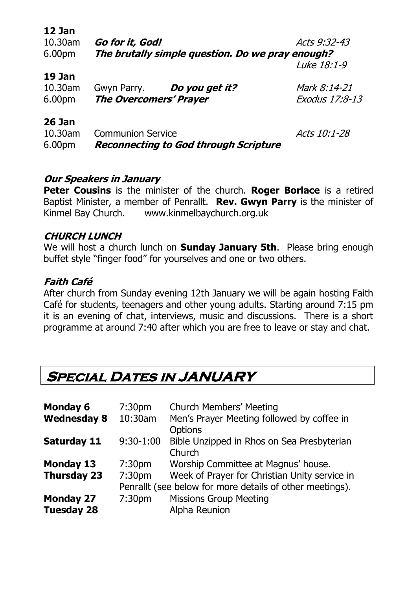| 12 Jan<br>10.30am<br>6.00pm | Go for it, God!<br>The brutally simple question. Do we pray enough?      | Acts 9:32-43                   |
|-----------------------------|--------------------------------------------------------------------------|--------------------------------|
|                             |                                                                          | Luke 18:1-9                    |
| 19 Jan<br>10.30am<br>6.00pm | Gwyn Parry. Do you get it?<br><b>The Overcomers' Prayer</b>              | Mark 8:14-21<br>Exodus 17:8-13 |
| 26 Jan<br>10.30am<br>6.00pm | <b>Communion Service</b><br><b>Reconnecting to God through Scripture</b> | Acts 10:1-28                   |

#### **Our Speakers in January**

**Peter Cousins** is the minister of the church. **Roger Borlace** is a retired Baptist Minister, a member of Penrallt. **Rev. Gwyn Parry** is the minister of Kinmel Bay Church. www.kinmelbaychurch.org.uk

#### **CHURCH LUNCH**

We will host a church lunch on **Sunday January 5th**. Please bring enough buffet style "finger food" for yourselves and one or two others.

#### **Faith Café**

After church from Sunday evening 12th January we will be again hosting Faith Café for students, teenagers and other young adults. Starting around 7:15 pm it is an evening of chat, interviews, music and discussions. There is a short programme at around 7:40 after which you are free to leave or stay and chat.

# **Special Dates in JANUARY**

| <b>Monday 6</b>                       | 7:30 <sub>pm</sub>                                                                                                  | <b>Church Members' Meeting</b>                               |
|---------------------------------------|---------------------------------------------------------------------------------------------------------------------|--------------------------------------------------------------|
| <b>Wednesday 8</b>                    | 10:30am                                                                                                             | Men's Prayer Meeting followed by coffee in<br><b>Options</b> |
| <b>Saturday 11</b>                    | $9:30-1:00$                                                                                                         | Bible Unzipped in Rhos on Sea Presbyterian<br>Church         |
| <b>Monday 13</b>                      | 7:30 <sub>pm</sub>                                                                                                  | Worship Committee at Magnus' house.                          |
| <b>Thursday 23</b>                    | Week of Prayer for Christian Unity service in<br>7:30pm<br>Penrallt (see below for more details of other meetings). |                                                              |
| <b>Monday 27</b><br><b>Tuesday 28</b> | 7:30pm                                                                                                              | <b>Missions Group Meeting</b><br><b>Alpha Reunion</b>        |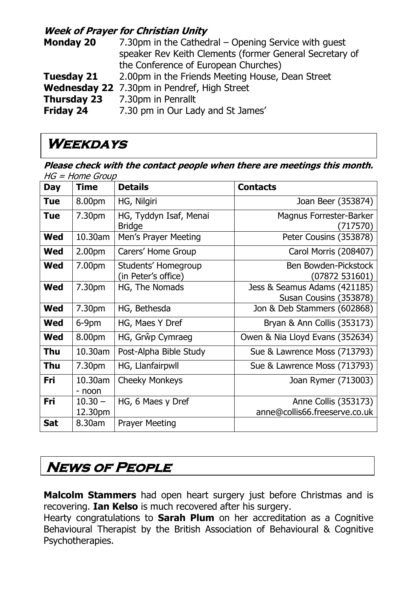#### **Week of Prayer for Christian Unity**

| <b>Monday 20</b>   | 7.30pm in the Cathedral – Opening Service with quest<br>speaker Rev Keith Clements (former General Secretary of |
|--------------------|-----------------------------------------------------------------------------------------------------------------|
|                    | the Conference of European Churches)                                                                            |
| <b>Tuesday 21</b>  | 2.00pm in the Friends Meeting House, Dean Street                                                                |
|                    | Wednesday 22 7.30pm in Pendref, High Street                                                                     |
| <b>Thursday 23</b> | 7.30pm in Penrallt                                                                                              |
| Friday 24          | 7.30 pm in Our Lady and St James'                                                                               |

### **Weekdays**

**Please check with the contact people when there are meetings this month.**   $HG = Home$  Group

| <b>Day</b> | <b>Time</b>          | <b>Details</b>                             | <b>Contacts</b>                                        |
|------------|----------------------|--------------------------------------------|--------------------------------------------------------|
| <b>Tue</b> | 8.00pm               | HG, Nilgiri                                | Joan Beer (353874)                                     |
| Tue        | 7.30pm               | HG, Tyddyn Isaf, Menai<br><b>Bridge</b>    | Magnus Forrester-Barker<br>(717570)                    |
| <b>Wed</b> | 10.30am              | Men's Prayer Meeting                       | Peter Cousins (353878)                                 |
| <b>Wed</b> | 2.00 <sub>pm</sub>   | Carers' Home Group                         | Carol Morris (208407)                                  |
| <b>Wed</b> | 7.00pm               | Students' Homegroup<br>(in Peter's office) | Ben Bowden-Pickstock<br>(07872 531601)                 |
| <b>Wed</b> | 7.30pm               | HG, The Nomads                             | Jess & Seamus Adams (421185)<br>Susan Cousins (353878) |
| <b>Wed</b> | 7.30pm               | HG, Bethesda                               | Jon & Deb Stammers (602868)                            |
| <b>Wed</b> | 6-9pm                | HG, Maes Y Dref                            | Bryan & Ann Collis (353173)                            |
| <b>Wed</b> | 8.00pm               | HG, Grŵp Cymraeg                           | Owen & Nia Lloyd Evans (352634)                        |
| Thu        | 10.30am              | Post-Alpha Bible Study                     | Sue & Lawrence Moss (713793)                           |
| Thu        | 7.30pm               | HG, Llanfairpwll                           | Sue & Lawrence Moss (713793)                           |
| Fri        | 10.30am<br>- noon    | <b>Cheeky Monkeys</b>                      | Joan Rymer (713003)                                    |
| Fri        | $10.30 -$<br>12.30pm | HG, 6 Maes y Dref                          | Anne Collis (353173)<br>anne@collis66.freeserve.co.uk  |
| <b>Sat</b> | 8.30am               | <b>Prayer Meeting</b>                      |                                                        |

# **NEWS OF PEOPLE**

**Malcolm Stammers** had open heart surgery just before Christmas and is recovering. **Ian Kelso** is much recovered after his surgery.

Hearty congratulations to **Sarah Plum** on her accreditation as a Cognitive Behavioural Therapist by the British Association of Behavioural & Cognitive Psychotherapies.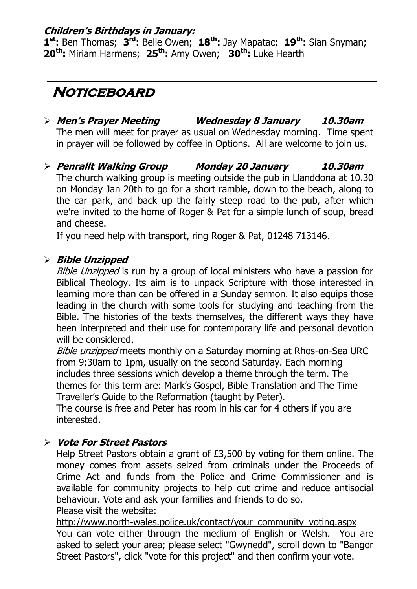#### **Children's Birthdays in January:**

**1 st:** Ben Thomas; **3 rd:** Belle Owen; **18th:** Jay Mapatac; **19th:** Sian Snyman; **20th:** Miriam Harmens; **25th:** Amy Owen; **30th:** Luke Hearth

### **Noticeboard**

- **Men's Prayer Meeting Wednesday 8 January 10.30am** The men will meet for prayer as usual on Wednesday morning. Time spent  in prayer will be followed by coffee in Options. All are welcome to join us.
- **Penrallt Walking Group Monday 20 January 10.30am** The church walking group is meeting outside the pub in Llanddona at 10.30 on Monday Jan 20th to go for a short ramble, down to the beach, along to the car park, and back up the fairly steep road to the pub, after which we're invited to the home of Roger & Pat for a simple lunch of soup, bread and cheese.

If you need help with transport, ring Roger & Pat, 01248 713146.

#### **Bible Unzipped**

Bible Unzipped is run by a group of local ministers who have a passion for Biblical Theology. Its aim is to unpack Scripture with those interested in learning more than can be offered in a Sunday sermon. It also equips those leading in the church with some tools for studying and teaching from the Bible. The histories of the texts themselves, the different ways they have been interpreted and their use for contemporary life and personal devotion will be considered.

Bible unzipped meets monthly on a Saturday morning at Rhos-on-Sea URC from 9:30am to 1pm, usually on the second Saturday. Each morning includes three sessions which develop a theme through the term. The themes for this term are: Mark's Gospel, Bible Translation and The Time Traveller's Guide to the Reformation (taught by Peter).

The course is free and Peter has room in his car for 4 others if you are interested.

#### **Vote For Street Pastors**

Help Street Pastors obtain a grant of £3,500 by voting for them online. The money comes from assets seized from criminals under the Proceeds of Crime Act and funds from the Police and Crime Commissioner and is available for community projects to help cut crime and reduce antisocial behaviour. Vote and ask your families and friends to do so.

Please visit the website:

[http://www.north-wales.police.uk/contact/your\\_community\\_voting.aspx](http://www.north-wales.police.uk/contact/your_community_voting.aspx) You can vote either through the medium of English or Welsh. You are asked to select your area; please select "Gwynedd", scroll down to "Bangor Street Pastors", click "vote for this project" and then confirm your vote.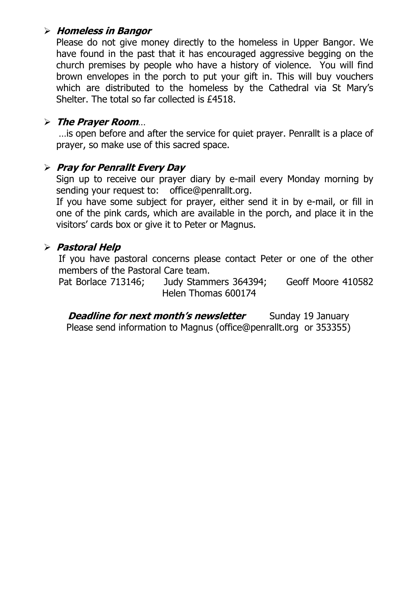#### **Homeless in Bangor**

Please do not give money directly to the homeless in Upper Bangor. We have found in the past that it has encouraged aggressive begging on the church premises by people who have a history of violence. You will find brown envelopes in the porch to put your gift in. This will buy vouchers which are distributed to the homeless by the Cathedral via St Mary's Shelter. The total so far collected is £4518.

#### **The Prayer Room**…

…is open before and after the service for quiet prayer. Penrallt is a place of prayer, so make use of this sacred space.

#### **Pray for Penrallt Every Day**

Sign up to receive our prayer diary by e-mail every Monday morning by sending your request to: [office@penrallt.org.](mailto:office@penrallt.org)

If you have some subject for prayer, either send it in by e-mail, or fill in one of the pink cards, which are available in the porch, and place it in the visitors' cards box or give it to Peter or Magnus.

#### **Pastoral Help**

If you have pastoral concerns please contact Peter or one of the other members of the Pastoral Care team.

Pat Borlace 713146; Judy Stammers 364394; Geoff Moore 410582 Helen Thomas 600174

**Deadline for next month's newsletter** Sunday 19 January Please send information to Magnus [\(office@penrallt.org](mailto:gwyneth@brindley-wales.com) or 353355)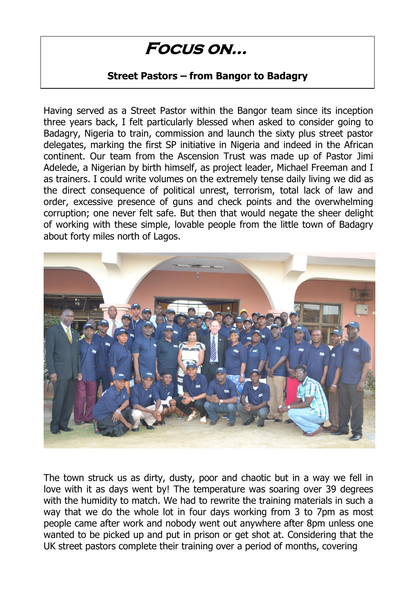# **Focus on…**

#### **Street Pastors – from Bangor to Badagry**

Having served as a Street Pastor within the Bangor team since its inception three years back, I felt particularly blessed when asked to consider going to Badagry, Nigeria to train, commission and launch the sixty plus street pastor delegates, marking the first SP initiative in Nigeria and indeed in the African continent. Our team from the Ascension Trust was made up of Pastor Jimi Adelede, a Nigerian by birth himself, as project leader, Michael Freeman and I as trainers. I could write volumes on the extremely tense daily living we did as the direct consequence of political unrest, terrorism, total lack of law and order, excessive presence of guns and check points and the overwhelming corruption; one never felt safe. But then that would negate the sheer delight of working with these simple, lovable people from the little town of Badagry about forty miles north of Lagos.



The town struck us as dirty, dusty, poor and chaotic but in a way we fell in love with it as days went by! The temperature was soaring over 39 degrees with the humidity to match. We had to rewrite the training materials in such a way that we do the whole lot in four days working from 3 to 7pm as most people came after work and nobody went out anywhere after 8pm unless one wanted to be picked up and put in prison or get shot at. Considering that the UK street pastors complete their training over a period of months, covering